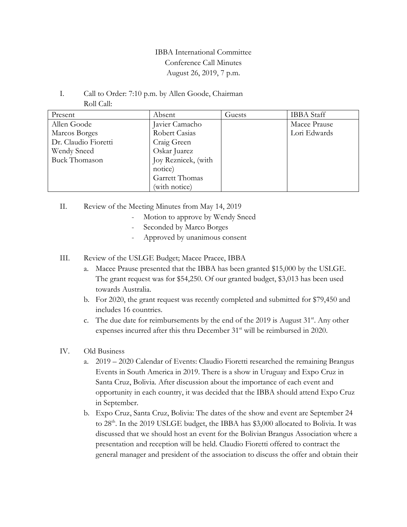## IBBA International Committee Conference Call Minutes August 26, 2019, 7 p.m.

I. Call to Order: 7:10 p.m. by Allen Goode, Chairman Roll Call:

| Present              | Absent              | Guests | <b>IBBA</b> Staff |
|----------------------|---------------------|--------|-------------------|
| Allen Goode          | Javier Camacho      |        | Macee Prause      |
| Marcos Borges        | Robert Casias       |        | Lori Edwards      |
| Dr. Claudio Fioretti | Craig Green         |        |                   |
| Wendy Sneed          | Oskar Juarez        |        |                   |
| <b>Buck Thomason</b> | Joy Reznicek, (with |        |                   |
|                      | notice)             |        |                   |
|                      | Garrett Thomas      |        |                   |
|                      | (with notice)       |        |                   |

II. Review of the Meeting Minutes from May 14, 2019

- Motion to approve by Wendy Sneed
- Seconded by Marco Borges
- Approved by unanimous consent
- III. Review of the USLGE Budget; Macee Pracee, IBBA
	- a. Macee Prause presented that the IBBA has been granted \$15,000 by the USLGE. The grant request was for \$54,250. Of our granted budget, \$3,013 has been used towards Australia.
	- b. For 2020, the grant request was recently completed and submitted for \$79,450 and includes 16 countries.
	- c. The due date for reimbursements by the end of the 2019 is August  $31<sup>st</sup>$ . Any other expenses incurred after this thru December 31<sup>st</sup> will be reimbursed in 2020.
- IV. Old Business
	- a. 2019 2020 Calendar of Events: Claudio Fioretti researched the remaining Brangus Events in South America in 2019. There is a show in Uruguay and Expo Cruz in Santa Cruz, Bolivia. After discussion about the importance of each event and opportunity in each country, it was decided that the IBBA should attend Expo Cruz in September.
	- b. Expo Cruz, Santa Cruz, Bolivia: The dates of the show and event are September 24 to 28<sup>th</sup>. In the 2019 USLGE budget, the IBBA has \$3,000 allocated to Bolivia. It was discussed that we should host an event for the Bolivian Brangus Association where a presentation and reception will be held. Claudio Fioretti offered to contract the general manager and president of the association to discuss the offer and obtain their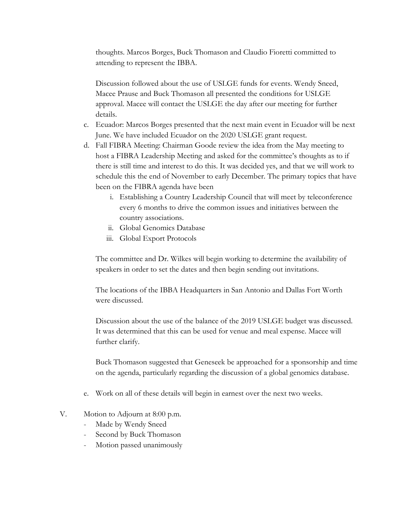thoughts. Marcos Borges, Buck Thomason and Claudio Fioretti committed to attending to represent the IBBA.

Discussion followed about the use of USLGE funds for events. Wendy Sneed, Macee Prause and Buck Thomason all presented the conditions for USLGE approval. Macee will contact the USLGE the day after our meeting for further details.

- c. Ecuador: Marcos Borges presented that the next main event in Ecuador will be next June. We have included Ecuador on the 2020 USLGE grant request.
- d. Fall FIBRA Meeting: Chairman Goode review the idea from the May meeting to host a FIBRA Leadership Meeting and asked for the committee's thoughts as to if there is still time and interest to do this. It was decided yes, and that we will work to schedule this the end of November to early December. The primary topics that have been on the FIBRA agenda have been
	- i. Establishing a Country Leadership Council that will meet by teleconference every 6 months to drive the common issues and initiatives between the country associations.
	- ii. Global Genomics Database
	- iii. Global Export Protocols

The committee and Dr. Wilkes will begin working to determine the availability of speakers in order to set the dates and then begin sending out invitations.

The locations of the IBBA Headquarters in San Antonio and Dallas Fort Worth were discussed.

Discussion about the use of the balance of the 2019 USLGE budget was discussed. It was determined that this can be used for venue and meal expense. Macee will further clarify.

Buck Thomason suggested that Geneseek be approached for a sponsorship and time on the agenda, particularly regarding the discussion of a global genomics database.

- e. Work on all of these details will begin in earnest over the next two weeks.
- V. Motion to Adjourn at 8:00 p.m.
	- Made by Wendy Sneed
	- Second by Buck Thomason
	- Motion passed unanimously